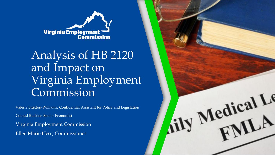

# Analysis of HB 2120 and Impact on Virginia Employment Commission

Valerie Braxton-Williams, Confidential Assistant for Policy and Legislation

Conrad Buckler, Senior Economist

Virginia Employment Commission Ellen Marie Hess, Commissioner

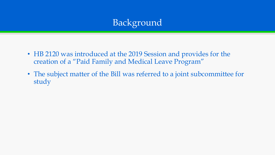# Background

- HB 2120 was introduced at the 2019 Session and provides for the creation of a "Paid Family and Medical Leave Program"
- The subject matter of the Bill was referred to a joint subcommittee for study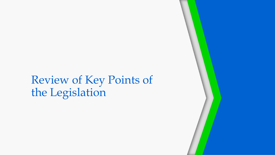# Review of Key Points of the Legislation

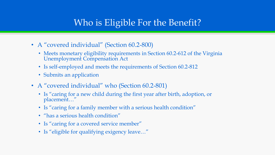## Who is Eligible For the Benefit?

- A "covered individual" (Section 60.2-800)
	- Meets monetary eligibility requirements in Section 60.2-612 of the Virginia Unemployment Compensation Act
	- Is self-employed and meets the requirements of Section 60.2-812
	- Submits an application
- A "covered individual" who (Section 60.2-801)
	- Is "caring for a new child during the first year after birth, adoption, or placement…"
	- Is "caring for a family member with a serious health condition"
	- "has a serious health condition"
	- Is "caring for a covered service member"
	- Is "eligible for qualifying exigency leave…"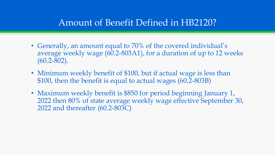#### Amount of Benefit Defined in HB2120?

- Generally, an amount equal to 70% of the covered individual's average weekly wage (60.2-803A1), for a duration of up to 12 weeks (60.2-802).
- Minimum weekly benefit of \$100, but if actual wage is less than \$100, then the benefit is equal to actual wages (60.2-803B)
- Maximum weekly benefit is \$850 for period beginning January 1, 2022 then 80% of state average weekly wage effective September 30, 2022 and thereafter (60.2-803C)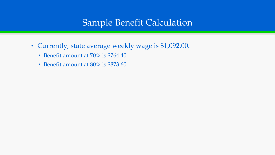### Sample Benefit Calculation

- Currently, state average weekly wage is \$1,092.00.
	- Benefit amount at 70% is \$764.40.
	- Benefit amount at 80% is \$873.60.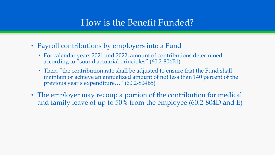### How is the Benefit Funded?

- Payroll contributions by employers into a Fund
	- For calendar years 2021 and 2022, amount of contributions determined according to "sound actuarial principles" (60.2-804B1)
	- Then, "the contribution rate shall be adjusted to ensure that the Fund shall maintain or achieve an annualized amount of not less than 140 percent of the previous year's expenditure…" (60.2-804B5)
- The employer may recoup a portion of the contribution for medical and family leave of up to 50% from the employee (60.2-804D and E)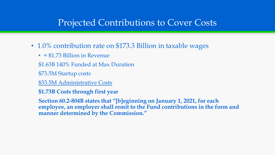#### Projected Contributions to Cover Costs

- 1.0% contribution rate on \$173.3 Billion in taxable wages
	- $\cdot$  = \$1.73 Billion in Revenue
	- \$1.63B 140% Funded at Max Duration
	- \$73.5M Startup costs
	- \$33.5M Administrative Costs
	- **\$1.73B Costs through first year**

**Section 60.2-804B states that "[b]eginning on January 1, 2021, for each employee, an employer shall remit to the Fund contributions in the form and manner determined by the Commission."**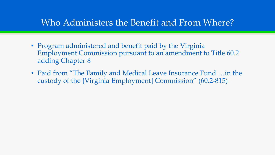#### Who Administers the Benefit and From Where?

- Program administered and benefit paid by the Virginia Employment Commission pursuant to an amendment to Title 60.2 adding Chapter 8
- Paid from "The Family and Medical Leave Insurance Fund …in the custody of the [Virginia Employment] Commission" (60.2-815)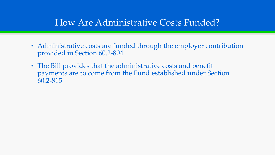### How Are Administrative Costs Funded?

- Administrative costs are funded through the employer contribution provided in Section 60.2-804
- The Bill provides that the administrative costs and benefit payments are to come from the Fund established under Section 60.2-815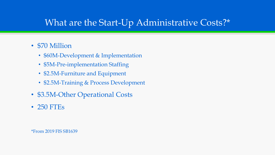# What are the Start-Up Administrative Costs?\*

#### • \$70 Million

- \$60M-Development & Implementation
- \$5M-Pre-implementation Staffing
- \$2.5M-Furniture and Equipment
- \$2.5M-Training & Process Development
- \$3.5M-Other Operational Costs
- 250 FTEs

\*From 2019 FIS SB1639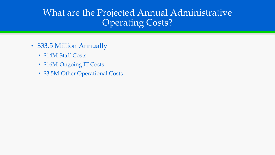# What are the Projected Annual Administrative Operating Costs?

- \$33.5 Million Annually
	- \$14M-Staff Costs
	- \$16M-Ongoing IT Costs
	- \$3.5M-Other Operational Costs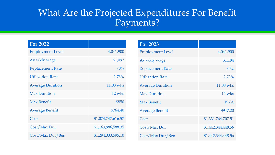### What Are the Projected Expenditures For Benefit Payments?

| <b>For 2022</b>         |                    |
|-------------------------|--------------------|
| <b>Employment Level</b> | 4,041,900          |
| Av wkly wage            | \$1,092            |
| <b>Replacement Rate</b> | 70%                |
| <b>Utilization Rate</b> | 2.73%              |
| <b>Average Duration</b> | 11.08 wks          |
| <b>Max Duration</b>     | 12 wks             |
| <b>Max Benefit</b>      | \$850              |
| <b>Average Benefit</b>  | \$764.40           |
| Cost                    | \$1,074,747,616.57 |
| Cost/Max Dur            | \$1,163,986,588.35 |
| Cost/Max Dur/Ben        | \$1,294,333,595.10 |

| <b>For 2023</b>         |                    |
|-------------------------|--------------------|
| <b>Employment Level</b> | 4,041,900          |
| Av wkly wage            | \$1,184            |
| <b>Replacement Rate</b> | 80%                |
| <b>Utilization Rate</b> | 2.73%              |
| <b>Average Duration</b> | 11.08 wks          |
| <b>Max Duration</b>     | 12 wks             |
| <b>Max Benefit</b>      | N/A                |
| <b>Average Benefit</b>  | \$947.20           |
| Cost                    | \$1,331,764,707.51 |
| Cost/Max Dur            | \$1,442,344,448.56 |
| Cost/Max Dur/Ben        | \$1,442,344,448.56 |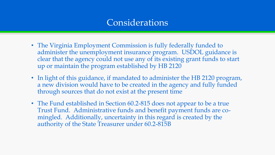#### Considerations

- The Virginia Employment Commission is fully federally funded to administer the unemployment insurance program. USDOL guidance is clear that the agency could not use any of its existing grant funds to start up or maintain the program established by HB 2120
- In light of this guidance, if mandated to administer the HB 2120 program, a new division would have to be created in the agency and fully funded through sources that do not exist at the present time
- The Fund established in Section 60.2-815 does not appear to be a true Trust Fund. Administrative funds and benefit payment funds are comingled. Additionally, uncertainty in this regard is created by the authority of the State Treasurer under 60.2-815B